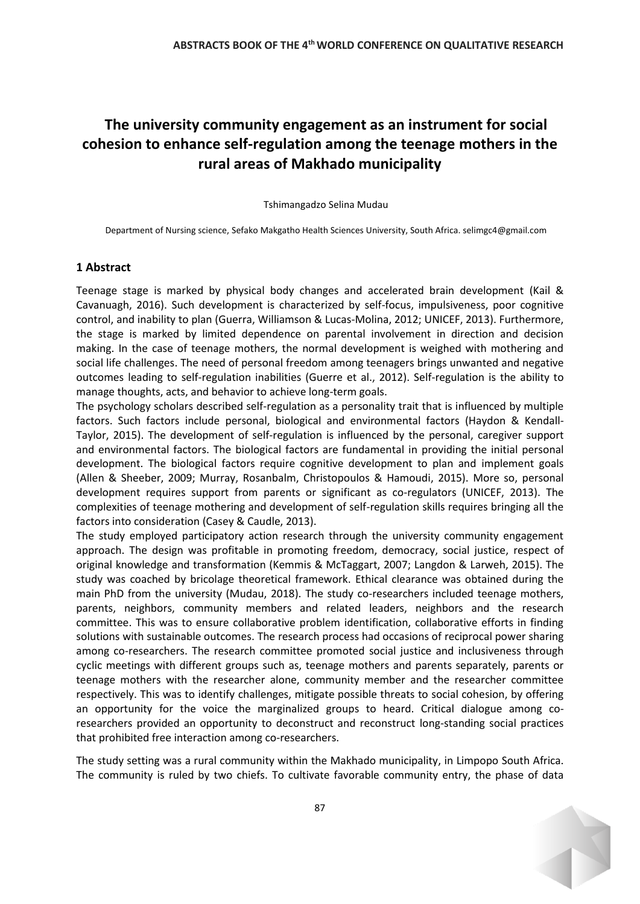## **The university community engagement as an instrument for social cohesion to enhance self-regulation among the teenage mothers in the rural areas of Makhado municipality**

Tshimangadzo Selina Mudau

Department of Nursing science, Sefako Makgatho Health Sciences University, South Africa. [selimgc4@gmail.com](mailto:selimgc4@gmail.com)

## **1 Abstract**

Teenage stage is marked by physical body changes and accelerated brain development (Kail & Cavanuagh, 2016). Such development is characterized by self-focus, impulsiveness, poor cognitive control, and inability to plan (Guerra, Williamson & Lucas-Molina, 2012; UNICEF, 2013). Furthermore, the stage is marked by limited dependence on parental involvement in direction and decision making. In the case of teenage mothers, the normal development is weighed with mothering and social life challenges. The need of personal freedom among teenagers brings unwanted and negative outcomes leading to self-regulation inabilities (Guerre et al., 2012). Self-regulation is the ability to manage thoughts, acts, and behavior to achieve long-term goals.

The psychology scholars described self-regulation as a personality trait that is influenced by multiple factors. Such factors include personal, biological and environmental factors (Haydon & Kendall-Taylor, 2015). The development of self-regulation is influenced by the personal, caregiver support and environmental factors. The biological factors are fundamental in providing the initial personal development. The biological factors require cognitive development to plan and implement goals (Allen & Sheeber, 2009; Murray, Rosanbalm, Christopoulos & Hamoudi, 2015). More so, personal development requires support from parents or significant as co-regulators (UNICEF, 2013). The complexities of teenage mothering and development of self-regulation skills requires bringing all the factors into consideration (Casey & Caudle, 2013).

The study employed participatory action research through the university community engagement approach. The design was profitable in promoting freedom, democracy, social justice, respect of original knowledge and transformation (Kemmis & McTaggart, 2007; Langdon & Larweh, 2015). The study was coached by bricolage theoretical framework. Ethical clearance was obtained during the main PhD from the university (Mudau, 2018). The study co-researchers included teenage mothers, parents, neighbors, community members and related leaders, neighbors and the research committee. This was to ensure collaborative problem identification, collaborative efforts in finding solutions with sustainable outcomes. The research process had occasions of reciprocal power sharing among co-researchers. The research committee promoted social justice and inclusiveness through cyclic meetings with different groups such as, teenage mothers and parents separately, parents or teenage mothers with the researcher alone, community member and the researcher committee respectively. This was to identify challenges, mitigate possible threats to social cohesion, by offering an opportunity for the voice the marginalized groups to heard. Critical dialogue among coresearchers provided an opportunity to deconstruct and reconstruct long-standing social practices that prohibited free interaction among co-researchers.

The study setting was a rural community within the Makhado municipality, in Limpopo South Africa. The community is ruled by two chiefs. To cultivate favorable community entry, the phase of data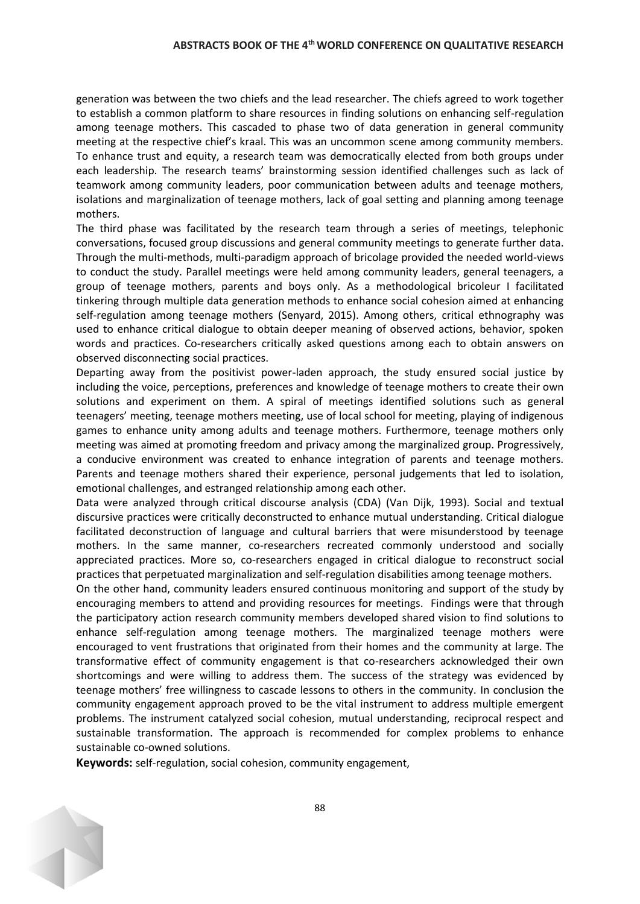## **ABSTRACTS BOOK OF THE 4thWORLD CONFERENCE ON QUALITATIVE RESEARCH**

generation was between the two chiefs and the lead researcher. The chiefs agreed to work together to establish a common platform to share resources in finding solutions on enhancing self-regulation among teenage mothers. This cascaded to phase two of data generation in general community meeting at the respective chief's kraal. This was an uncommon scene among community members. To enhance trust and equity, a research team was democratically elected from both groups under each leadership. The research teams' brainstorming session identified challenges such as lack of teamwork among community leaders, poor communication between adults and teenage mothers, isolations and marginalization of teenage mothers, lack of goal setting and planning among teenage mothers.

The third phase was facilitated by the research team through a series of meetings, telephonic conversations, focused group discussions and general community meetings to generate further data. Through the multi-methods, multi-paradigm approach of bricolage provided the needed world-views to conduct the study. Parallel meetings were held among community leaders, general teenagers, a group of teenage mothers, parents and boys only. As a methodological bricoleur I facilitated tinkering through multiple data generation methods to enhance social cohesion aimed at enhancing self-regulation among teenage mothers (Senyard, 2015). Among others, critical ethnography was used to enhance critical dialogue to obtain deeper meaning of observed actions, behavior, spoken words and practices. Co-researchers critically asked questions among each to obtain answers on observed disconnecting social practices.

Departing away from the positivist power-laden approach, the study ensured social justice by including the voice, perceptions, preferences and knowledge of teenage mothers to create their own solutions and experiment on them. A spiral of meetings identified solutions such as general teenagers' meeting, teenage mothers meeting, use of local school for meeting, playing of indigenous games to enhance unity among adults and teenage mothers. Furthermore, teenage mothers only meeting was aimed at promoting freedom and privacy among the marginalized group. Progressively, a conducive environment was created to enhance integration of parents and teenage mothers. Parents and teenage mothers shared their experience, personal judgements that led to isolation, emotional challenges, and estranged relationship among each other.

Data were analyzed through critical discourse analysis (CDA) (Van Dijk, 1993). Social and textual discursive practices were critically deconstructed to enhance mutual understanding. Critical dialogue facilitated deconstruction of language and cultural barriers that were misunderstood by teenage mothers. In the same manner, co-researchers recreated commonly understood and socially appreciated practices. More so, co-researchers engaged in critical dialogue to reconstruct social practices that perpetuated marginalization and self-regulation disabilities among teenage mothers.

On the other hand, community leaders ensured continuous monitoring and support of the study by encouraging members to attend and providing resources for meetings. Findings were that through the participatory action research community members developed shared vision to find solutions to enhance self-regulation among teenage mothers. The marginalized teenage mothers were encouraged to vent frustrations that originated from their homes and the community at large. The transformative effect of community engagement is that co-researchers acknowledged their own shortcomings and were willing to address them. The success of the strategy was evidenced by teenage mothers' free willingness to cascade lessons to others in the community. In conclusion the community engagement approach proved to be the vital instrument to address multiple emergent problems. The instrument catalyzed social cohesion, mutual understanding, reciprocal respect and sustainable transformation. The approach is recommended for complex problems to enhance sustainable co-owned solutions.

**Keywords:** self-regulation, social cohesion, community engagement,